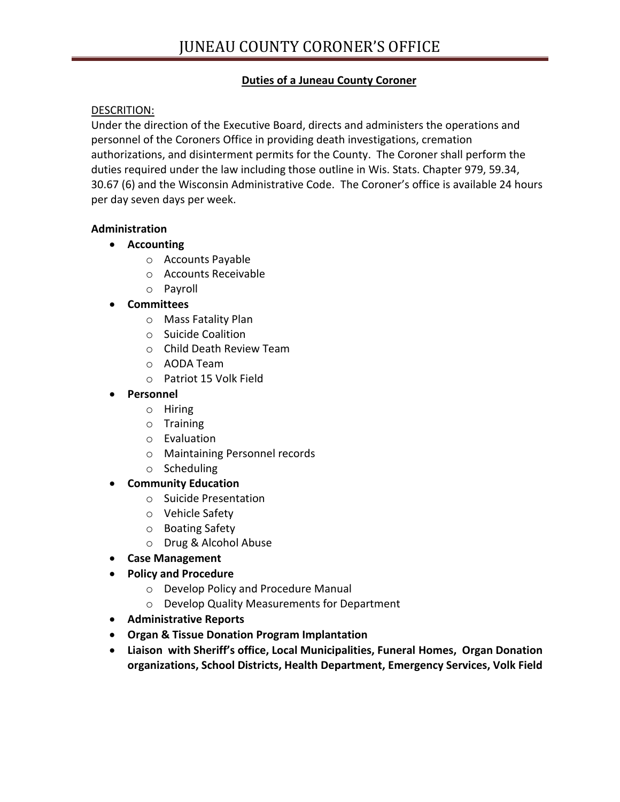# **Duties of a Juneau County Coroner**

### DESCRITION:

Under the direction of the Executive Board, directs and administers the operations and personnel of the Coroners Office in providing death investigations, cremation authorizations, and disinterment permits for the County. The Coroner shall perform the duties required under the law including those outline in Wis. Stats. Chapter 979, 59.34, 30.67 (6) and the Wisconsin Administrative Code. The Coroner's office is available 24 hours per day seven days per week.

#### **Administration**

- **Accounting**
	- o Accounts Payable
	- o Accounts Receivable
	- o Payroll
- **Committees**
	- o Mass Fatality Plan
	- o Suicide Coalition
	- o Child Death Review Team
	- o AODA Team
	- o Patriot 15 Volk Field

#### **Personnel**

- o Hiring
- o Training
- o Evaluation
- o Maintaining Personnel records
- o Scheduling
- **Community Education**
	- o Suicide Presentation
	- o Vehicle Safety
	- o Boating Safety
	- o Drug & Alcohol Abuse
- **Case Management**
- **Policy and Procedure** 
	- o Develop Policy and Procedure Manual
	- o Develop Quality Measurements for Department
- **Administrative Reports**
- **Organ & Tissue Donation Program Implantation**
- **Liaison with Sheriff's office, Local Municipalities, Funeral Homes, Organ Donation organizations, School Districts, Health Department, Emergency Services, Volk Field**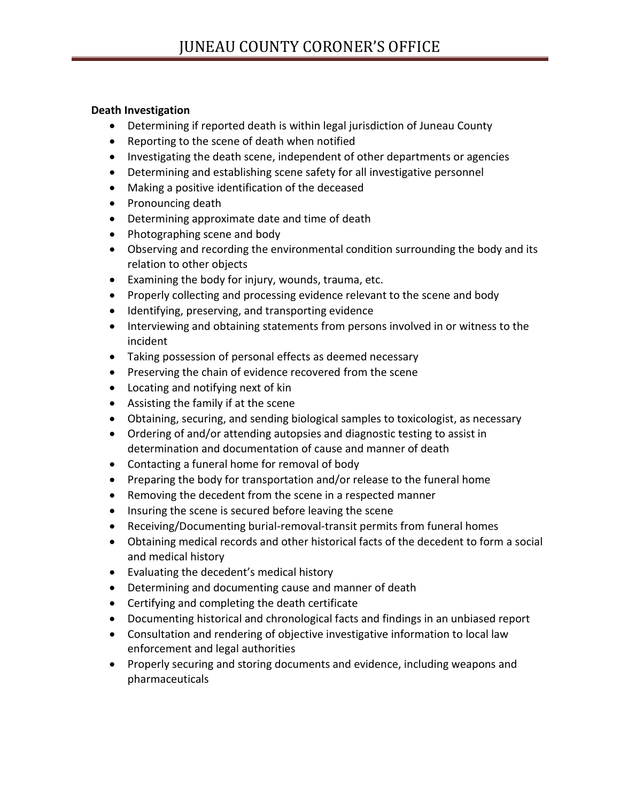### **Death Investigation**

- Determining if reported death is within legal jurisdiction of Juneau County
- Reporting to the scene of death when notified
- Investigating the death scene, independent of other departments or agencies
- Determining and establishing scene safety for all investigative personnel
- Making a positive identification of the deceased
- Pronouncing death
- Determining approximate date and time of death
- Photographing scene and body
- Observing and recording the environmental condition surrounding the body and its relation to other objects
- Examining the body for injury, wounds, trauma, etc.
- Properly collecting and processing evidence relevant to the scene and body
- Identifying, preserving, and transporting evidence
- Interviewing and obtaining statements from persons involved in or witness to the incident
- Taking possession of personal effects as deemed necessary
- Preserving the chain of evidence recovered from the scene
- Locating and notifying next of kin
- Assisting the family if at the scene
- Obtaining, securing, and sending biological samples to toxicologist, as necessary
- Ordering of and/or attending autopsies and diagnostic testing to assist in determination and documentation of cause and manner of death
- Contacting a funeral home for removal of body
- Preparing the body for transportation and/or release to the funeral home
- Removing the decedent from the scene in a respected manner
- Insuring the scene is secured before leaving the scene
- Receiving/Documenting burial-removal-transit permits from funeral homes
- Obtaining medical records and other historical facts of the decedent to form a social and medical history
- Evaluating the decedent's medical history
- Determining and documenting cause and manner of death
- Certifying and completing the death certificate
- Documenting historical and chronological facts and findings in an unbiased report
- Consultation and rendering of objective investigative information to local law enforcement and legal authorities
- Properly securing and storing documents and evidence, including weapons and pharmaceuticals